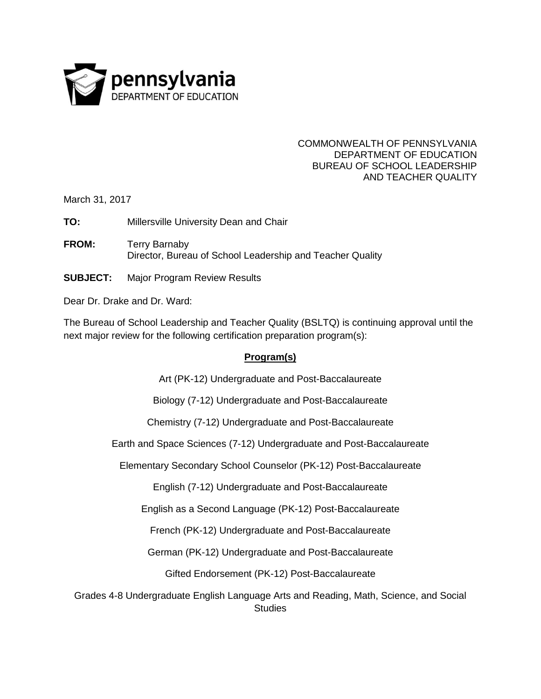

## COMMONWEALTH OF PENNSYLVANIA DEPARTMENT OF EDUCATION BUREAU OF SCHOOL LEADERSHIP AND TEACHER QUALITY

March 31, 2017

**TO:** Millersville University Dean and Chair

- **FROM:** Terry Barnaby Director, Bureau of School Leadership and Teacher Quality
- **SUBJECT:** Major Program Review Results

Dear Dr. Drake and Dr. Ward:

The Bureau of School Leadership and Teacher Quality (BSLTQ) is continuing approval until the next major review for the following certification preparation program(s):

## **Program(s)**

Art (PK-12) Undergraduate and Post-Baccalaureate

Biology (7-12) Undergraduate and Post-Baccalaureate

Chemistry (7-12) Undergraduate and Post-Baccalaureate

Earth and Space Sciences (7-12) Undergraduate and Post-Baccalaureate

Elementary Secondary School Counselor (PK-12) Post-Baccalaureate

English (7-12) Undergraduate and Post-Baccalaureate

English as a Second Language (PK-12) Post-Baccalaureate

French (PK-12) Undergraduate and Post-Baccalaureate

German (PK-12) Undergraduate and Post-Baccalaureate

Gifted Endorsement (PK-12) Post-Baccalaureate

Grades 4-8 Undergraduate English Language Arts and Reading, Math, Science, and Social **Studies**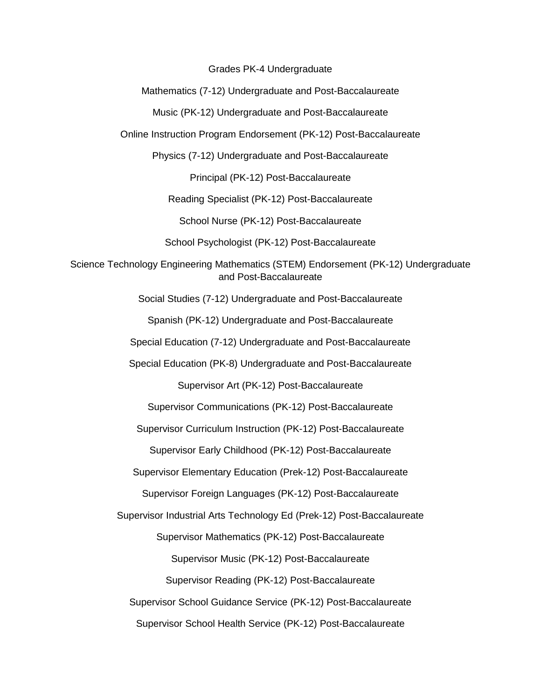Grades PK-4 Undergraduate

Mathematics (7-12) Undergraduate and Post-Baccalaureate

Music (PK-12) Undergraduate and Post-Baccalaureate

Online Instruction Program Endorsement (PK-12) Post-Baccalaureate

Physics (7-12) Undergraduate and Post-Baccalaureate

Principal (PK-12) Post-Baccalaureate

Reading Specialist (PK-12) Post-Baccalaureate

School Nurse (PK-12) Post-Baccalaureate

School Psychologist (PK-12) Post-Baccalaureate

Science Technology Engineering Mathematics (STEM) Endorsement (PK-12) Undergraduate and Post-Baccalaureate

Social Studies (7-12) Undergraduate and Post-Baccalaureate

Spanish (PK-12) Undergraduate and Post-Baccalaureate

Special Education (7-12) Undergraduate and Post-Baccalaureate

Special Education (PK-8) Undergraduate and Post-Baccalaureate

Supervisor Art (PK-12) Post-Baccalaureate

Supervisor Communications (PK-12) Post-Baccalaureate

Supervisor Curriculum Instruction (PK-12) Post-Baccalaureate

Supervisor Early Childhood (PK-12) Post-Baccalaureate

Supervisor Elementary Education (Prek-12) Post-Baccalaureate

Supervisor Foreign Languages (PK-12) Post-Baccalaureate

Supervisor Industrial Arts Technology Ed (Prek-12) Post-Baccalaureate

Supervisor Mathematics (PK-12) Post-Baccalaureate

Supervisor Music (PK-12) Post-Baccalaureate

Supervisor Reading (PK-12) Post-Baccalaureate

Supervisor School Guidance Service (PK-12) Post-Baccalaureate

Supervisor School Health Service (PK-12) Post-Baccalaureate